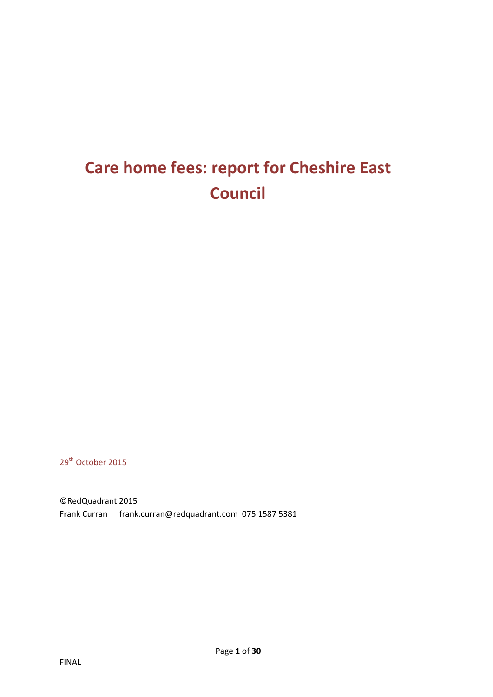# **Care home fees: report for Cheshire East Council**

29<sup>th</sup> October 2015

©RedQuadrant 2015 Frank Curran frank.curran@redquadrant.com 075 1587 5381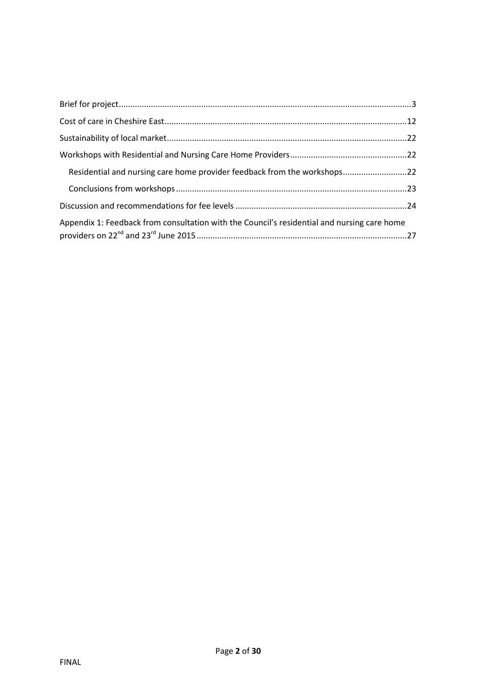| Residential and nursing care home provider feedback from the workshops22                    |  |
|---------------------------------------------------------------------------------------------|--|
|                                                                                             |  |
|                                                                                             |  |
| Appendix 1: Feedback from consultation with the Council's residential and nursing care home |  |
|                                                                                             |  |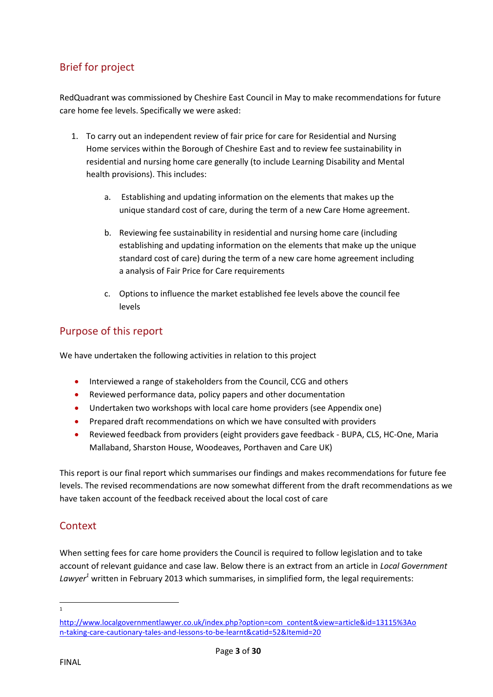## <span id="page-2-0"></span>Brief for project

RedQuadrant was commissioned by Cheshire East Council in May to make recommendations for future care home fee levels. Specifically we were asked:

- 1. To carry out an independent review of fair price for care for Residential and Nursing Home services within the Borough of Cheshire East and to review fee sustainability in residential and nursing home care generally (to include Learning Disability and Mental health provisions). This includes:
	- a. Establishing and updating information on the elements that makes up the unique standard cost of care, during the term of a new Care Home agreement.
	- b. Reviewing fee sustainability in residential and nursing home care (including establishing and updating information on the elements that make up the unique standard cost of care) during the term of a new care home agreement including a analysis of Fair Price for Care requirements
	- c. Options to influence the market established fee levels above the council fee levels

## Purpose of this report

We have undertaken the following activities in relation to this project

- Interviewed a range of stakeholders from the Council, CCG and others
- Reviewed performance data, policy papers and other documentation
- Undertaken two workshops with local care home providers (see Appendix one)
- Prepared draft recommendations on which we have consulted with providers
- Reviewed feedback from providers (eight providers gave feedback BUPA, CLS, HC-One, Maria Mallaband, Sharston House, Woodeaves, Porthaven and Care UK)

This report is our final report which summarises our findings and makes recommendations for future fee levels. The revised recommendations are now somewhat different from the draft recommendations as we have taken account of the feedback received about the local cost of care

## **Context**

When setting fees for care home providers the Council is required to follow legislation and to take account of relevant guidance and case law. Below there is an extract from an article in *Local Government Lawyer<sup>1</sup>* written in February 2013 which summarises, in simplified form, the legal requirements:

**.** 1

[http://www.localgovernmentlawyer.co.uk/index.php?option=com\\_content&view=article&id=13115%3Ao](http://www.localgovernmentlawyer.co.uk/index.php?option=com_content&view=article&id=13115%3Aon-taking-care-cautionary-tales-and-lessons-to-be-learnt&catid=52&Itemid=20) [n-taking-care-cautionary-tales-and-lessons-to-be-learnt&catid=52&Itemid=20](http://www.localgovernmentlawyer.co.uk/index.php?option=com_content&view=article&id=13115%3Aon-taking-care-cautionary-tales-and-lessons-to-be-learnt&catid=52&Itemid=20)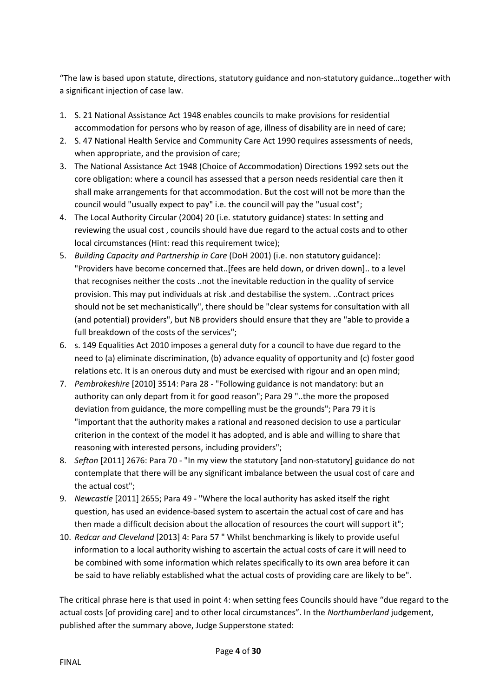"The law is based upon statute, directions, statutory guidance and non-statutory guidance…together with a significant injection of case law.

- 1. S. 21 National Assistance Act 1948 enables councils to make provisions for residential accommodation for persons who by reason of age, illness of disability are in need of care;
- 2. S. 47 National Health Service and Community Care Act 1990 requires assessments of needs, when appropriate, and the provision of care;
- 3. The National Assistance Act 1948 (Choice of Accommodation) Directions 1992 sets out the core obligation: where a council has assessed that a person needs residential care then it shall make arrangements for that accommodation. But the cost will not be more than the council would "usually expect to pay" i.e. the council will pay the "usual cost";
- 4. The Local Authority Circular (2004) 20 (i.e. statutory guidance) states: In setting and reviewing the usual cost , councils should have due regard to the actual costs and to other local circumstances (Hint: read this requirement twice);
- 5. *Building Capacity and Partnership in Care* (DoH 2001) (i.e. non statutory guidance): "Providers have become concerned that..[fees are held down, or driven down].. to a level that recognises neither the costs ..not the inevitable reduction in the quality of service provision. This may put individuals at risk .and destabilise the system. ..Contract prices should not be set mechanistically", there should be "clear systems for consultation with all (and potential) providers", but NB providers should ensure that they are "able to provide a full breakdown of the costs of the services";
- 6. s. 149 Equalities Act 2010 imposes a general duty for a council to have due regard to the need to (a) eliminate discrimination, (b) advance equality of opportunity and (c) foster good relations etc. It is an onerous duty and must be exercised with rigour and an open mind;
- 7. *Pembrokeshire* [2010] 3514: Para 28 "Following guidance is not mandatory: but an authority can only depart from it for good reason"; Para 29 "..the more the proposed deviation from guidance, the more compelling must be the grounds"; Para 79 it is "important that the authority makes a rational and reasoned decision to use a particular criterion in the context of the model it has adopted, and is able and willing to share that reasoning with interested persons, including providers";
- 8. *Sefton* [2011] 2676: Para 70 "In my view the statutory [and non-statutory] guidance do not contemplate that there will be any significant imbalance between the usual cost of care and the actual cost";
- 9. *Newcastle* [2011] 2655; Para 49 "Where the local authority has asked itself the right question, has used an evidence-based system to ascertain the actual cost of care and has then made a difficult decision about the allocation of resources the court will support it";
- 10. *Redcar and Cleveland* [2013] 4: Para 57 " Whilst benchmarking is likely to provide useful information to a local authority wishing to ascertain the actual costs of care it will need to be combined with some information which relates specifically to its own area before it can be said to have reliably established what the actual costs of providing care are likely to be".

The critical phrase here is that used in point 4: when setting fees Councils should have "due regard to the actual costs [of providing care] and to other local circumstances". In the *Northumberland* judgement, published after the summary above, Judge Supperstone stated: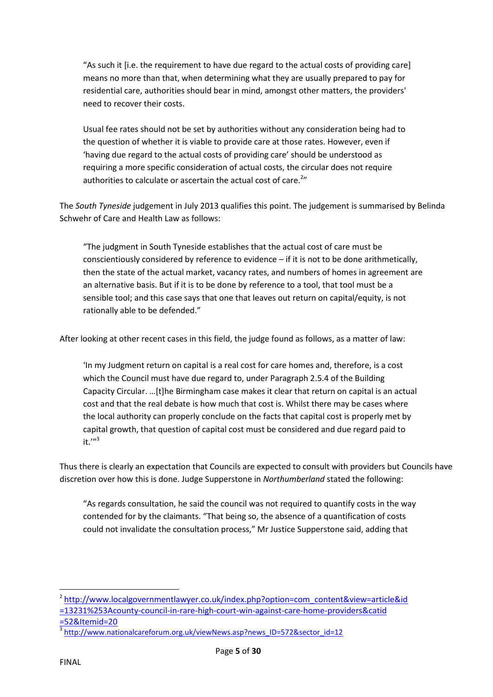"As such it [i.e. the requirement to have due regard to the actual costs of providing care] means no more than that, when determining what they are usually prepared to pay for residential care, authorities should bear in mind, amongst other matters, the providers' need to recover their costs.

Usual fee rates should not be set by authorities without any consideration being had to the question of whether it is viable to provide care at those rates. However, even if 'having due regard to the actual costs of providing care' should be understood as requiring a more specific consideration of actual costs, the circular does not require authorities to calculate or ascertain the actual cost of care. $^{2n}$ 

The *South Tyneside* judgement in July 2013 qualifies this point. The judgement is summarised by Belinda Schwehr of Care and Health Law as follows:

"The judgment in South Tyneside establishes that the actual cost of care must be conscientiously considered by reference to evidence – if it is not to be done arithmetically, then the state of the actual market, vacancy rates, and numbers of homes in agreement are an alternative basis. But if it is to be done by reference to a tool, that tool must be a sensible tool; and this case says that one that leaves out return on capital/equity, is not rationally able to be defended."

After looking at other recent cases in this field, the judge found as follows, as a matter of law:

'In my Judgment return on capital is a real cost for care homes and, therefore, is a cost which the Council must have due regard to, under Paragraph 2.5.4 of the Building Capacity Circular. …[t]he Birmingham case makes it clear that return on capital is an actual cost and that the real debate is how much that cost is. Whilst there may be cases where the local authority can properly conclude on the facts that capital cost is properly met by capital growth, that question of capital cost must be considered and due regard paid to it. $^{\prime\prime\prime3}$ 

Thus there is clearly an expectation that Councils are expected to consult with providers but Councils have discretion over how this is done. Judge Supperstone in *Northumberland* stated the following:

"As regards consultation, he said the council was not required to quantify costs in the way contended for by the claimants. "That being so, the absence of a quantification of costs could not invalidate the consultation process," Mr Justice Supperstone said, adding that

 $\overline{a}$ 

<sup>&</sup>lt;sup>2</sup> http://www.localgovernmentlawyer.co.uk/index.php?option=com\_content&view=article&id [=13231%253Acounty-council-in-rare-high-court-win-against-care-home-providers&catid](http://www.localgovernmentlawyer.co.uk/index.php?option=com_content&view=article&id%20=13231%253Acounty-council-in-rare-high-court-win-against-care-home-providers&catid%20=52&Itemid=20)  [=52&Itemid=20](http://www.localgovernmentlawyer.co.uk/index.php?option=com_content&view=article&id%20=13231%253Acounty-council-in-rare-high-court-win-against-care-home-providers&catid%20=52&Itemid=20)

<sup>3</sup> [http://www.nationalcareforum.org.uk/viewNews.asp?news\\_ID=572&sector\\_id=12](http://www.nationalcareforum.org.uk/viewNews.asp?news_ID=572§or_id=12)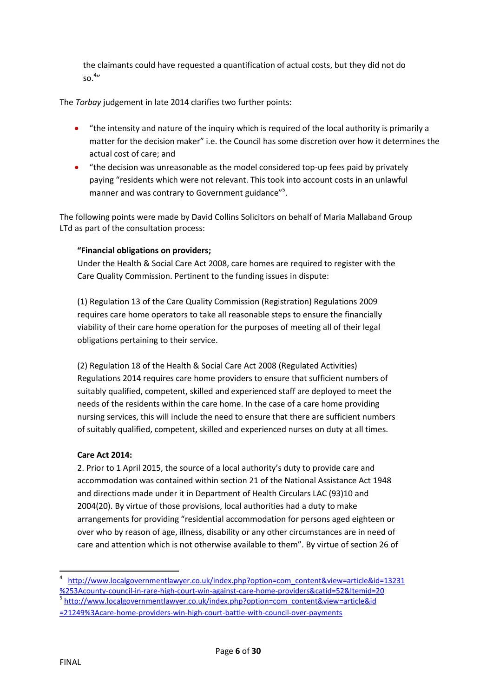the claimants could have requested a quantification of actual costs, but they did not do so. $4n$ 

The *Torbay* judgement in late 2014 clarifies two further points:

- "the intensity and nature of the inquiry which is required of the local authority is primarily a matter for the decision maker" i.e. the Council has some discretion over how it determines the actual cost of care; and
- "the decision was unreasonable as the model considered top-up fees paid by privately paying "residents which were not relevant. This took into account costs in an unlawful manner and was contrary to Government guidance"<sup>5</sup>.

The following points were made by David Collins Solicitors on behalf of Maria Mallaband Group LTd as part of the consultation process:

#### **"Financial obligations on providers;**

Under the Health & Social Care Act 2008, care homes are required to register with the Care Quality Commission. Pertinent to the funding issues in dispute:

(1) Regulation 13 of the Care Quality Commission (Registration) Regulations 2009 requires care home operators to take all reasonable steps to ensure the financially viability of their care home operation for the purposes of meeting all of their legal obligations pertaining to their service.

(2) Regulation 18 of the Health & Social Care Act 2008 (Regulated Activities) Regulations 2014 requires care home providers to ensure that sufficient numbers of suitably qualified, competent, skilled and experienced staff are deployed to meet the needs of the residents within the care home. In the case of a care home providing nursing services, this will include the need to ensure that there are sufficient numbers of suitably qualified, competent, skilled and experienced nurses on duty at all times.

#### **Care Act 2014:**

2. Prior to 1 April 2015, the source of a local authority's duty to provide care and accommodation was contained within section 21 of the National Assistance Act 1948 and directions made under it in Department of Health Circulars LAC (93)10 and 2004(20). By virtue of those provisions, local authorities had a duty to make arrangements for providing "residential accommodation for persons aged eighteen or over who by reason of age, illness, disability or any other circumstances are in need of care and attention which is not otherwise available to them". By virtue of section 26 of

**<sup>.</sup>** 4 [http://www.localgovernmentlawyer.co.uk/index.php?option=com\\_content&view=article&id=13231](http://www.localgovernmentlawyer.co.uk/index.php?option=com_content&view=article&id=13231%20%253Acounty-council-in-rare-high-court-win-against-care-home-providers&catid=52&Itemid=20)  [%253Acounty-council-in-rare-high-court-win-against-care-home-providers&catid=52&Itemid=20](http://www.localgovernmentlawyer.co.uk/index.php?option=com_content&view=article&id=13231%20%253Acounty-council-in-rare-high-court-win-against-care-home-providers&catid=52&Itemid=20)

<sup>&</sup>lt;sup>5</sup> http://www.localgovernmentlawyer.co.uk/index.php?option=com\_content&view=article&id [=21249%3Acare-home-providers-win-high-court-battle-with-council-over-payments](http://www.localgovernmentlawyer.co.uk/index.php?option=com_content&view=article&id%20=21249%3Acare-home-providers-win-high-court-battle-with-council-over-payments)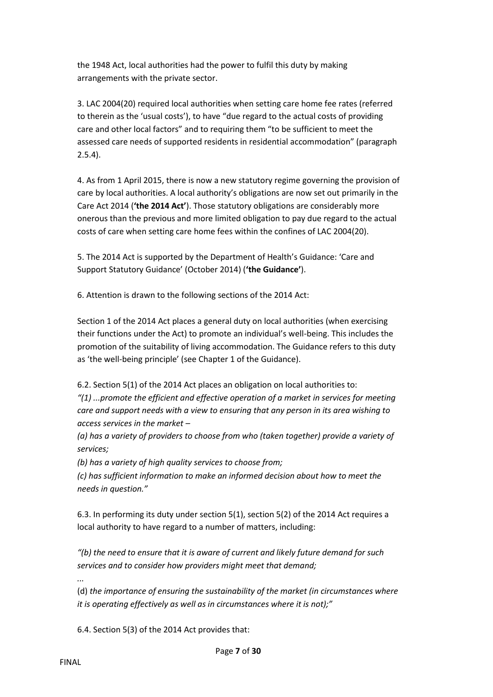the 1948 Act, local authorities had the power to fulfil this duty by making arrangements with the private sector.

3. LAC 2004(20) required local authorities when setting care home fee rates (referred to therein as the 'usual costs'), to have "due regard to the actual costs of providing care and other local factors" and to requiring them "to be sufficient to meet the assessed care needs of supported residents in residential accommodation" (paragraph 2.5.4).

4. As from 1 April 2015, there is now a new statutory regime governing the provision of care by local authorities. A local authority's obligations are now set out primarily in the Care Act 2014 (**'the 2014 Act'**). Those statutory obligations are considerably more onerous than the previous and more limited obligation to pay due regard to the actual costs of care when setting care home fees within the confines of LAC 2004(20).

5. The 2014 Act is supported by the Department of Health's Guidance: 'Care and Support Statutory Guidance' (October 2014) (**'the Guidance'**).

6. Attention is drawn to the following sections of the 2014 Act:

Section 1 of the 2014 Act places a general duty on local authorities (when exercising their functions under the Act) to promote an individual's well-being. This includes the promotion of the suitability of living accommodation. The Guidance refers to this duty as 'the well-being principle' (see Chapter 1 of the Guidance).

6.2. Section 5(1) of the 2014 Act places an obligation on local authorities to:

*"(1) ...promote the efficient and effective operation of a market in services for meeting care and support needs with a view to ensuring that any person in its area wishing to access services in the market –*

*(a) has a variety of providers to choose from who (taken together) provide a variety of services;* 

*(b) has a variety of high quality services to choose from;* 

*(c) has sufficient information to make an informed decision about how to meet the needs in question."* 

6.3. In performing its duty under section 5(1), section 5(2) of the 2014 Act requires a local authority to have regard to a number of matters, including:

*"(b) the need to ensure that it is aware of current and likely future demand for such services and to consider how providers might meet that demand;* 

(d) *the importance of ensuring the sustainability of the market (in circumstances where it is operating effectively as well as in circumstances where it is not);"* 

6.4. Section 5(3) of the 2014 Act provides that:

*...*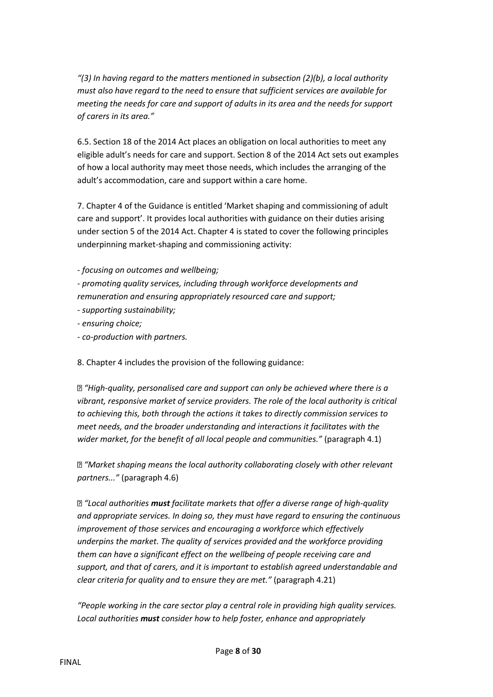*"(3) In having regard to the matters mentioned in subsection (2)(b), a local authority must also have regard to the need to ensure that sufficient services are available for meeting the needs for care and support of adults in its area and the needs for support of carers in its area."*

6.5. Section 18 of the 2014 Act places an obligation on local authorities to meet any eligible adult's needs for care and support. Section 8 of the 2014 Act sets out examples of how a local authority may meet those needs, which includes the arranging of the adult's accommodation, care and support within a care home.

7. Chapter 4 of the Guidance is entitled 'Market shaping and commissioning of adult care and support'. It provides local authorities with guidance on their duties arising under section 5 of the 2014 Act. Chapter 4 is stated to cover the following principles underpinning market-shaping and commissioning activity:

- *focusing on outcomes and wellbeing;* 

- *promoting quality services, including through workforce developments and remuneration and ensuring appropriately resourced care and support;*
- *supporting sustainability;*
- *ensuring choice;*
- *co-production with partners.*

8. Chapter 4 includes the provision of the following guidance:

*"High-quality, personalised care and support can only be achieved where there is a vibrant, responsive market of service providers. The role of the local authority is critical to achieving this, both through the actions it takes to directly commission services to meet needs, and the broader understanding and interactions it facilitates with the wider market, for the benefit of all local people and communities."* (paragraph 4.1)

*"Market shaping means the local authority collaborating closely with other relevant partners..."* (paragraph 4.6)

*"Local authorities must facilitate markets that offer a diverse range of high-quality and appropriate services. In doing so, they must have regard to ensuring the continuous improvement of those services and encouraging a workforce which effectively underpins the market. The quality of services provided and the workforce providing them can have a significant effect on the wellbeing of people receiving care and support, and that of carers, and it is important to establish agreed understandable and clear criteria for quality and to ensure they are met."* (paragraph 4.21)

*"People working in the care sector play a central role in providing high quality services. Local authorities must consider how to help foster, enhance and appropriately*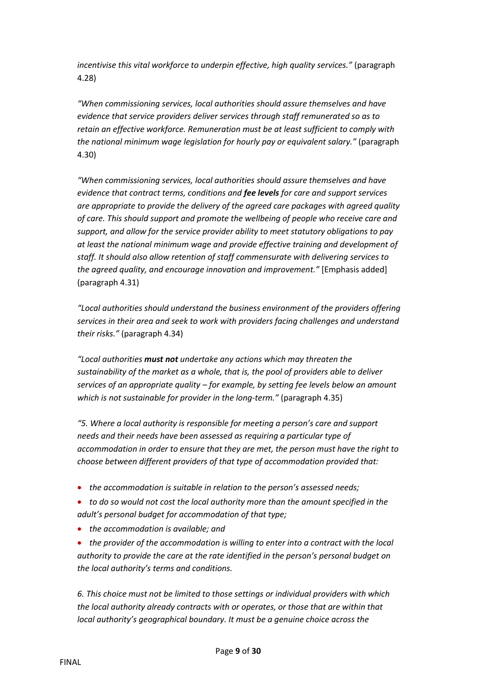*incentivise this vital workforce to underpin effective, high quality services."* (paragraph 4.28)

*"When commissioning services, local authorities should assure themselves and have evidence that service providers deliver services through staff remunerated so as to retain an effective workforce. Remuneration must be at least sufficient to comply with the national minimum wage legislation for hourly pay or equivalent salary."* (paragraph 4.30)

*"When commissioning services, local authorities should assure themselves and have evidence that contract terms, conditions and fee levels for care and support services are appropriate to provide the delivery of the agreed care packages with agreed quality of care. This should support and promote the wellbeing of people who receive care and support, and allow for the service provider ability to meet statutory obligations to pay at least the national minimum wage and provide effective training and development of staff. It should also allow retention of staff commensurate with delivering services to the agreed quality, and encourage innovation and improvement."* [Emphasis added] (paragraph 4.31)

*"Local authorities should understand the business environment of the providers offering services in their area and seek to work with providers facing challenges and understand their risks."* (paragraph 4.34)

*"Local authorities must not undertake any actions which may threaten the sustainability of the market as a whole, that is, the pool of providers able to deliver services of an appropriate quality – for example, by setting fee levels below an amount which is not sustainable for provider in the long-term."* (paragraph 4.35)

*"5. Where a local authority is responsible for meeting a person's care and support needs and their needs have been assessed as requiring a particular type of accommodation in order to ensure that they are met, the person must have the right to choose between different providers of that type of accommodation provided that:* 

- *the accommodation is suitable in relation to the person's assessed needs;*
- *to do so would not cost the local authority more than the amount specified in the adult's personal budget for accommodation of that type;*
- *the accommodation is available; and*
- *the provider of the accommodation is willing to enter into a contract with the local authority to provide the care at the rate identified in the person's personal budget on the local authority's terms and conditions.*

*6. This choice must not be limited to those settings or individual providers with which the local authority already contracts with or operates, or those that are within that local authority's geographical boundary. It must be a genuine choice across the*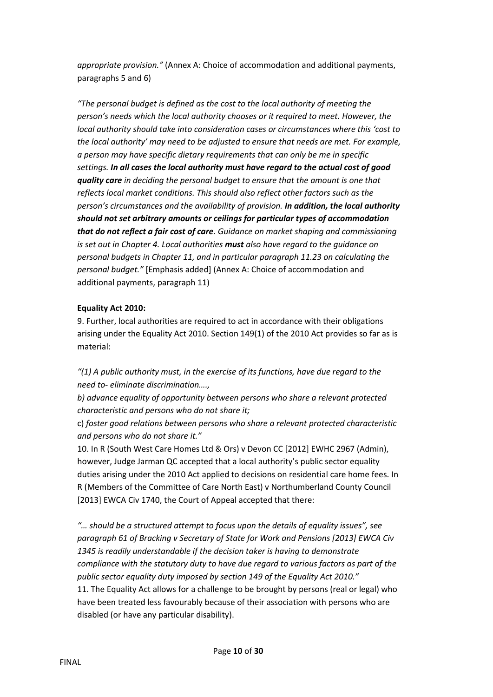*appropriate provision."* (Annex A: Choice of accommodation and additional payments, paragraphs 5 and 6)

*"The personal budget is defined as the cost to the local authority of meeting the person's needs which the local authority chooses or it required to meet. However, the local authority should take into consideration cases or circumstances where this 'cost to the local authority' may need to be adjusted to ensure that needs are met. For example, a person may have specific dietary requirements that can only be me in specific settings. In all cases the local authority must have regard to the actual cost of good quality care in deciding the personal budget to ensure that the amount is one that reflects local market conditions. This should also reflect other factors such as the person's circumstances and the availability of provision. In addition, the local authority should not set arbitrary amounts or ceilings for particular types of accommodation that do not reflect a fair cost of care. Guidance on market shaping and commissioning is set out in Chapter 4. Local authorities must also have regard to the guidance on personal budgets in Chapter 11, and in particular paragraph 11.23 on calculating the personal budget."* [Emphasis added] (Annex A: Choice of accommodation and additional payments, paragraph 11)

#### **Equality Act 2010:**

9. Further, local authorities are required to act in accordance with their obligations arising under the Equality Act 2010. Section 149(1) of the 2010 Act provides so far as is material:

*"(1) A public authority must, in the exercise of its functions, have due regard to the need to- eliminate discrimination….,* 

*b) advance equality of opportunity between persons who share a relevant protected characteristic and persons who do not share it;* 

c) *foster good relations between persons who share a relevant protected characteristic and persons who do not share it."* 

10. In R (South West Care Homes Ltd & Ors) v Devon CC [2012] EWHC 2967 (Admin), however, Judge Jarman QC accepted that a local authority's public sector equality duties arising under the 2010 Act applied to decisions on residential care home fees. In R (Members of the Committee of Care North East) v Northumberland County Council [2013] EWCA Civ 1740, the Court of Appeal accepted that there:

*"… should be a structured attempt to focus upon the details of equality issues", see paragraph 61 of Bracking v Secretary of State for Work and Pensions [2013] EWCA Civ 1345 is readily understandable if the decision taker is having to demonstrate compliance with the statutory duty to have due regard to various factors as part of the public sector equality duty imposed by section 149 of the Equality Act 2010."*  11. The Equality Act allows for a challenge to be brought by persons (real or legal) who have been treated less favourably because of their association with persons who are disabled (or have any particular disability).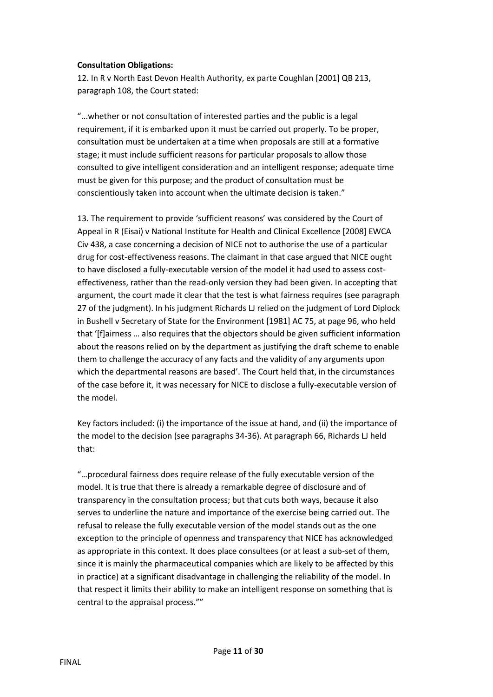#### **Consultation Obligations:**

12. In R v North East Devon Health Authority, ex parte Coughlan [2001] QB 213, paragraph 108, the Court stated:

"...whether or not consultation of interested parties and the public is a legal requirement, if it is embarked upon it must be carried out properly. To be proper, consultation must be undertaken at a time when proposals are still at a formative stage; it must include sufficient reasons for particular proposals to allow those consulted to give intelligent consideration and an intelligent response; adequate time must be given for this purpose; and the product of consultation must be conscientiously taken into account when the ultimate decision is taken."

13. The requirement to provide 'sufficient reasons' was considered by the Court of Appeal in R (Eisai) v National Institute for Health and Clinical Excellence [2008] EWCA Civ 438, a case concerning a decision of NICE not to authorise the use of a particular drug for cost-effectiveness reasons. The claimant in that case argued that NICE ought to have disclosed a fully-executable version of the model it had used to assess costeffectiveness, rather than the read-only version they had been given. In accepting that argument, the court made it clear that the test is what fairness requires (see paragraph 27 of the judgment). In his judgment Richards LJ relied on the judgment of Lord Diplock in Bushell v Secretary of State for the Environment [1981] AC 75, at page 96, who held that '[f]airness … also requires that the objectors should be given sufficient information about the reasons relied on by the department as justifying the draft scheme to enable them to challenge the accuracy of any facts and the validity of any arguments upon which the departmental reasons are based'. The Court held that, in the circumstances of the case before it, it was necessary for NICE to disclose a fully-executable version of the model.

Key factors included: (i) the importance of the issue at hand, and (ii) the importance of the model to the decision (see paragraphs 34-36). At paragraph 66, Richards LJ held that:

"…procedural fairness does require release of the fully executable version of the model. It is true that there is already a remarkable degree of disclosure and of transparency in the consultation process; but that cuts both ways, because it also serves to underline the nature and importance of the exercise being carried out. The refusal to release the fully executable version of the model stands out as the one exception to the principle of openness and transparency that NICE has acknowledged as appropriate in this context. It does place consultees (or at least a sub-set of them, since it is mainly the pharmaceutical companies which are likely to be affected by this in practice) at a significant disadvantage in challenging the reliability of the model. In that respect it limits their ability to make an intelligent response on something that is central to the appraisal process.""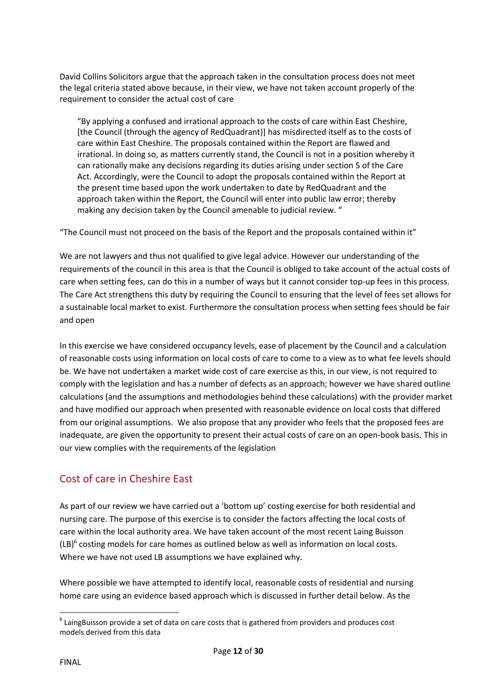David Collins Solicitors argue that the approach taken in the consultation process does not meet the legal criteria stated above because, in their view, we have not taken account properly of the requirement to consider the actual cost of care

"By applying a confused and irrational approach to the costs of care within East Cheshire, [the Council (through the agency of RedQuadrant)] has misdirected itself as to the costs of care within East Cheshire. The proposals contained within the Report are flawed and irrational. In doing so, as matters currently stand, the Council is not in a position whereby it can rationally make any decisions regarding its duties arising under section 5 of the Care Act. Accordingly, were the Council to adopt the proposals contained within the Report at the present time based upon the work undertaken to date by RedQuadrant and the approach taken within the Report, the Council will enter into public law error; thereby making any decision taken by the Council amenable to judicial review. "

"The Council must not proceed on the basis of the Report and the proposals contained within it"

We are not lawyers and thus not qualified to give legal advice. However our understanding of the requirements of the council in this area is that the Council is obliged to take account of the actual costs of care when setting fees, can do this in a number of ways but it cannot consider top-up fees in this process. The Care Act strengthens this duty by requiring the Council to ensuring that the level of fees set allows for a sustainable local market to exist. Furthermore the consultation process when setting fees should be fair and open

In this exercise we have considered occupancy levels, ease of placement by the Council and a calculation of reasonable costs using information on local costs of care to come to a view as to what fee levels should be. We have not undertaken a market wide cost of care exercise as this, in our view, is not required to comply with the legislation and has a number of defects as an approach; however we have shared outline calculations (and the assumptions and methodologies behind these calculations) with the provider market and have modified our approach when presented with reasonable evidence on local costs that differed from our original assumptions. We also propose that any provider who feels that the proposed fees are inadequate, are given the opportunity to present their actual costs of care on an open-book basis. This in our view complies with the requirements of the legislation

# <span id="page-11-0"></span>Cost of care in Cheshire East

As part of our review we have carried out a 'bottom up' costing exercise for both residential and nursing care. The purpose of this exercise is to consider the factors affecting the local costs of care within the local authority area. We have taken account of the most recent Laing Buisson  $(LB)^6$  costing models for care homes as outlined below as well as information on local costs. Where we have not used LB assumptions we have explained why.

Where possible we have attempted to identify local, reasonable costs of residential and nursing home care using an evidence based approach which is discussed in further detail below. As the

**<sup>.</sup>**  $^6$  LaingBuisson provide a set of data on care costs that is gathered from providers and produces cost models derived from this data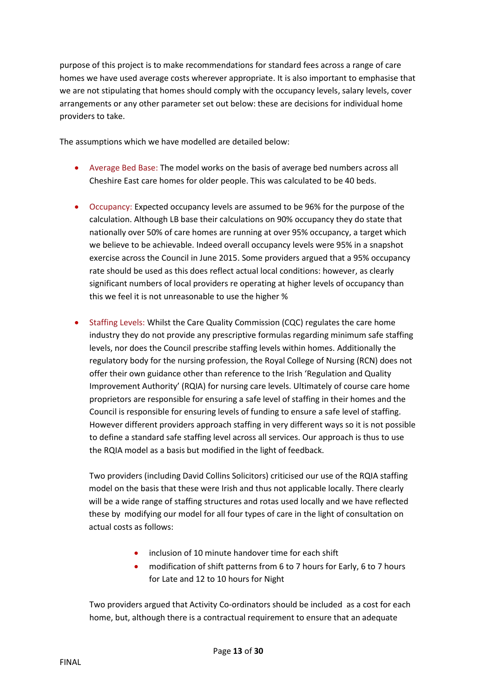purpose of this project is to make recommendations for standard fees across a range of care homes we have used average costs wherever appropriate. It is also important to emphasise that we are not stipulating that homes should comply with the occupancy levels, salary levels, cover arrangements or any other parameter set out below: these are decisions for individual home providers to take.

The assumptions which we have modelled are detailed below:

- Average Bed Base: The model works on the basis of average bed numbers across all Cheshire East care homes for older people. This was calculated to be 40 beds.
- Occupancy: Expected occupancy levels are assumed to be 96% for the purpose of the calculation. Although LB base their calculations on 90% occupancy they do state that nationally over 50% of care homes are running at over 95% occupancy, a target which we believe to be achievable. Indeed overall occupancy levels were 95% in a snapshot exercise across the Council in June 2015. Some providers argued that a 95% occupancy rate should be used as this does reflect actual local conditions: however, as clearly significant numbers of local providers re operating at higher levels of occupancy than this we feel it is not unreasonable to use the higher %
- Staffing Levels: Whilst the Care Quality Commission (CQC) regulates the care home industry they do not provide any prescriptive formulas regarding minimum safe staffing levels, nor does the Council prescribe staffing levels within homes. Additionally the regulatory body for the nursing profession, the Royal College of Nursing (RCN) does not offer their own guidance other than reference to the Irish 'Regulation and Quality Improvement Authority' (RQIA) for nursing care levels. Ultimately of course care home proprietors are responsible for ensuring a safe level of staffing in their homes and the Council is responsible for ensuring levels of funding to ensure a safe level of staffing. However different providers approach staffing in very different ways so it is not possible to define a standard safe staffing level across all services. Our approach is thus to use the RQIA model as a basis but modified in the light of feedback.

Two providers (including David Collins Solicitors) criticised our use of the RQIA staffing model on the basis that these were Irish and thus not applicable locally. There clearly will be a wide range of staffing structures and rotas used locally and we have reflected these by modifying our model for all four types of care in the light of consultation on actual costs as follows:

- inclusion of 10 minute handover time for each shift
- modification of shift patterns from 6 to 7 hours for Early, 6 to 7 hours for Late and 12 to 10 hours for Night

Two providers argued that Activity Co-ordinators should be included as a cost for each home, but, although there is a contractual requirement to ensure that an adequate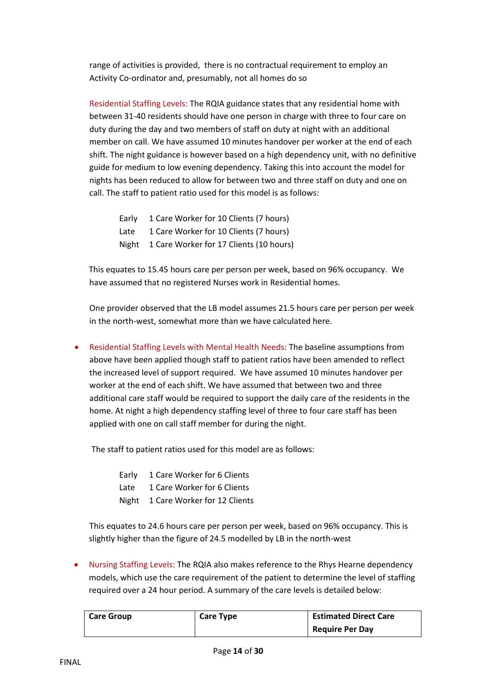range of activities is provided, there is no contractual requirement to employ an Activity Co-ordinator and, presumably, not all homes do so

Residential Staffing Levels: The RQIA guidance states that any residential home with between 31-40 residents should have one person in charge with three to four care on duty during the day and two members of staff on duty at night with an additional member on call. We have assumed 10 minutes handover per worker at the end of each shift. The night guidance is however based on a high dependency unit, with no definitive guide for medium to low evening dependency. Taking this into account the model for nights has been reduced to allow for between two and three staff on duty and one on call. The staff to patient ratio used for this model is as follows:

| Early | 1 Care Worker for 10 Clients (7 hours)        |
|-------|-----------------------------------------------|
| Late  | 1 Care Worker for 10 Clients (7 hours)        |
|       | Night 1 Care Worker for 17 Clients (10 hours) |

This equates to 15.45 hours care per person per week, based on 96% occupancy. We have assumed that no registered Nurses work in Residential homes.

One provider observed that the LB model assumes 21.5 hours care per person per week in the north-west, somewhat more than we have calculated here.

 Residential Staffing Levels with Mental Health Needs: The baseline assumptions from above have been applied though staff to patient ratios have been amended to reflect the increased level of support required. We have assumed 10 minutes handover per worker at the end of each shift. We have assumed that between two and three additional care staff would be required to support the daily care of the residents in the home. At night a high dependency staffing level of three to four care staff has been applied with one on call staff member for during the night.

The staff to patient ratios used for this model are as follows:

Early 1 Care Worker for 6 Clients Late 1 Care Worker for 6 Clients

Night 1 Care Worker for 12 Clients

This equates to 24.6 hours care per person per week, based on 96% occupancy. This is slightly higher than the figure of 24.5 modelled by LB in the north-west

 Nursing Staffing Levels: The RQIA also makes reference to the Rhys Hearne dependency models, which use the care requirement of the patient to determine the level of staffing required over a 24 hour period. A summary of the care levels is detailed below:

| <b>Care Group</b> | <b>Care Type</b> | <b>Estimated Direct Care</b> |
|-------------------|------------------|------------------------------|
|                   |                  | <b>Require Per Day</b>       |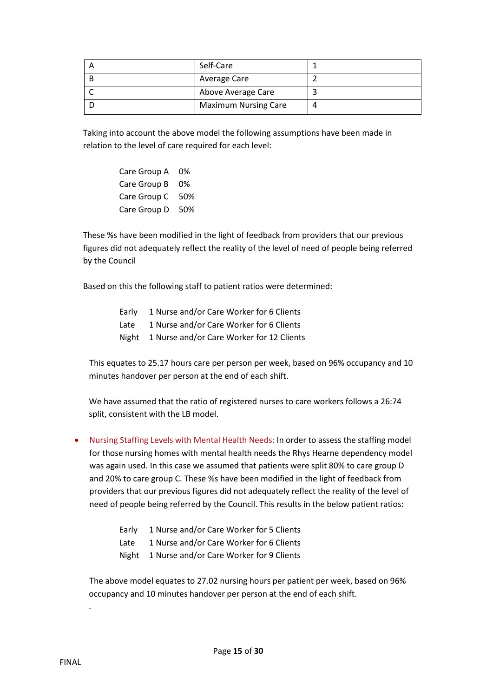| Self-Care                   |  |
|-----------------------------|--|
| Average Care                |  |
| Above Average Care          |  |
| <b>Maximum Nursing Care</b> |  |

Taking into account the above model the following assumptions have been made in relation to the level of care required for each level:

> Care Group A 0% Care Group B 0% Care Group C 50% Care Group D 50%

These %s have been modified in the light of feedback from providers that our previous figures did not adequately reflect the reality of the level of need of people being referred by the Council

Based on this the following staff to patient ratios were determined:

| Early | 1 Nurse and/or Care Worker for 6 Clients        |
|-------|-------------------------------------------------|
| Late  | 1 Nurse and/or Care Worker for 6 Clients        |
|       | Night 1 Nurse and/or Care Worker for 12 Clients |

This equates to 25.17 hours care per person per week, based on 96% occupancy and 10 minutes handover per person at the end of each shift.

We have assumed that the ratio of registered nurses to care workers follows a 26:74 split, consistent with the LB model.

- Nursing Staffing Levels with Mental Health Needs: In order to assess the staffing model for those nursing homes with mental health needs the Rhys Hearne dependency model was again used. In this case we assumed that patients were split 80% to care group D and 20% to care group C. These %s have been modified in the light of feedback from providers that our previous figures did not adequately reflect the reality of the level of need of people being referred by the Council. This results in the below patient ratios:
	- Early 1 Nurse and/or Care Worker for 5 Clients
	- Late 1 Nurse and/or Care Worker for 6 Clients
	- Night 1 Nurse and/or Care Worker for 9 Clients

The above model equates to 27.02 nursing hours per patient per week, based on 96% occupancy and 10 minutes handover per person at the end of each shift.

.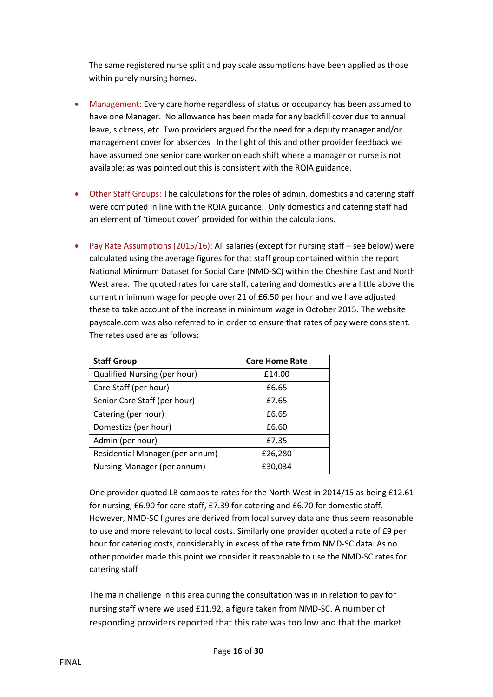The same registered nurse split and pay scale assumptions have been applied as those within purely nursing homes.

- Management: Every care home regardless of status or occupancy has been assumed to have one Manager. No allowance has been made for any backfill cover due to annual leave, sickness, etc. Two providers argued for the need for a deputy manager and/or management cover for absences In the light of this and other provider feedback we have assumed one senior care worker on each shift where a manager or nurse is not available; as was pointed out this is consistent with the RQIA guidance.
- Other Staff Groups: The calculations for the roles of admin, domestics and catering staff were computed in line with the RQIA guidance. Only domestics and catering staff had an element of 'timeout cover' provided for within the calculations.
- Pay Rate Assumptions (2015/16): All salaries (except for nursing staff see below) were calculated using the average figures for that staff group contained within the report National Minimum Dataset for Social Care (NMD-SC) within the Cheshire East and North West area. The quoted rates for care staff, catering and domestics are a little above the current minimum wage for people over 21 of £6.50 per hour and we have adjusted these to take account of the increase in minimum wage in October 2015. The website payscale.com was also referred to in order to ensure that rates of pay were consistent. The rates used are as follows:

| <b>Staff Group</b>              | <b>Care Home Rate</b> |
|---------------------------------|-----------------------|
| Qualified Nursing (per hour)    | £14.00                |
| Care Staff (per hour)           | £6.65                 |
| Senior Care Staff (per hour)    | £7.65                 |
| Catering (per hour)             | £6.65                 |
| Domestics (per hour)            | £6.60                 |
| Admin (per hour)                | £7.35                 |
| Residential Manager (per annum) | £26,280               |
| Nursing Manager (per annum)     | £30,034               |

One provider quoted LB composite rates for the North West in 2014/15 as being £12.61 for nursing, £6.90 for care staff, £7.39 for catering and £6.70 for domestic staff. However, NMD-SC figures are derived from local survey data and thus seem reasonable to use and more relevant to local costs. Similarly one provider quoted a rate of £9 per hour for catering costs, considerably in excess of the rate from NMD-SC data. As no other provider made this point we consider it reasonable to use the NMD-SC rates for catering staff

The main challenge in this area during the consultation was in in relation to pay for nursing staff where we used £11.92, a figure taken from NMD-SC. A number of responding providers reported that this rate was too low and that the market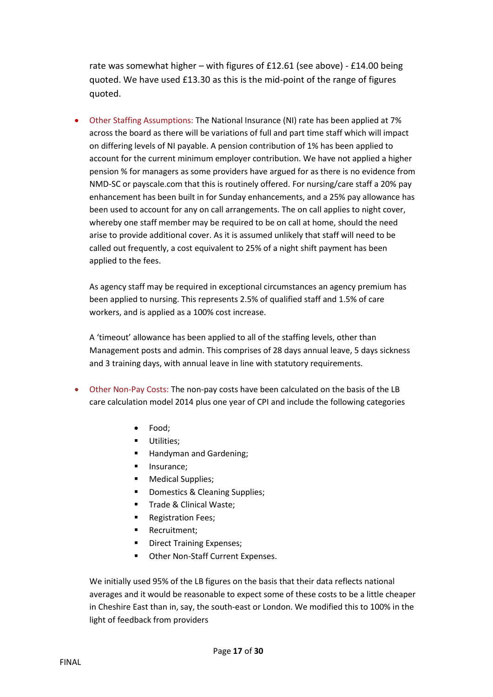rate was somewhat higher – with figures of £12.61 (see above) - £14.00 being quoted. We have used £13.30 as this is the mid-point of the range of figures quoted.

 Other Staffing Assumptions: The National Insurance (NI) rate has been applied at 7% across the board as there will be variations of full and part time staff which will impact on differing levels of NI payable. A pension contribution of 1% has been applied to account for the current minimum employer contribution. We have not applied a higher pension % for managers as some providers have argued for as there is no evidence from NMD-SC or payscale.com that this is routinely offered. For nursing/care staff a 20% pay enhancement has been built in for Sunday enhancements, and a 25% pay allowance has been used to account for any on call arrangements. The on call applies to night cover, whereby one staff member may be required to be on call at home, should the need arise to provide additional cover. As it is assumed unlikely that staff will need to be called out frequently, a cost equivalent to 25% of a night shift payment has been applied to the fees.

As agency staff may be required in exceptional circumstances an agency premium has been applied to nursing. This represents 2.5% of qualified staff and 1.5% of care workers, and is applied as a 100% cost increase.

A 'timeout' allowance has been applied to all of the staffing levels, other than Management posts and admin. This comprises of 28 days annual leave, 5 days sickness and 3 training days, with annual leave in line with statutory requirements.

- Other Non-Pay Costs: The non-pay costs have been calculated on the basis of the LB care calculation model 2014 plus one year of CPI and include the following categories
	- Food;
	- **Utilities:**
	- **Handyman and Gardening;**
	- Insurance;
	- Medical Supplies;
	- Domestics & Cleaning Supplies;
	- Trade & Clinical Waste;
	- **Registration Fees;**
	- Recruitment;
	- **Direct Training Expenses;**
	- **Other Non-Staff Current Expenses.**

We initially used 95% of the LB figures on the basis that their data reflects national averages and it would be reasonable to expect some of these costs to be a little cheaper in Cheshire East than in, say, the south-east or London. We modified this to 100% in the light of feedback from providers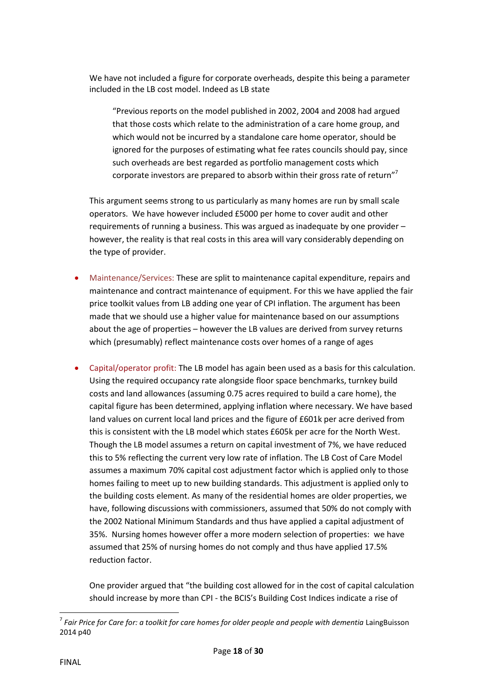We have not included a figure for corporate overheads, despite this being a parameter included in the LB cost model. Indeed as LB state

"Previous reports on the model published in 2002, 2004 and 2008 had argued that those costs which relate to the administration of a care home group, and which would not be incurred by a standalone care home operator, should be ignored for the purposes of estimating what fee rates councils should pay, since such overheads are best regarded as portfolio management costs which corporate investors are prepared to absorb within their gross rate of return"<sup>7</sup>

This argument seems strong to us particularly as many homes are run by small scale operators. We have however included £5000 per home to cover audit and other requirements of running a business. This was argued as inadequate by one provider – however, the reality is that real costs in this area will vary considerably depending on the type of provider.

- Maintenance/Services: These are split to maintenance capital expenditure, repairs and maintenance and contract maintenance of equipment. For this we have applied the fair price toolkit values from LB adding one year of CPI inflation. The argument has been made that we should use a higher value for maintenance based on our assumptions about the age of properties – however the LB values are derived from survey returns which (presumably) reflect maintenance costs over homes of a range of ages
- Capital/operator profit: The LB model has again been used as a basis for this calculation. Using the required occupancy rate alongside floor space benchmarks, turnkey build costs and land allowances (assuming 0.75 acres required to build a care home), the capital figure has been determined, applying inflation where necessary. We have based land values on current local land prices and the figure of £601k per acre derived from this is consistent with the LB model which states £605k per acre for the North West. Though the LB model assumes a return on capital investment of 7%, we have reduced this to 5% reflecting the current very low rate of inflation. The LB Cost of Care Model assumes a maximum 70% capital cost adjustment factor which is applied only to those homes failing to meet up to new building standards. This adjustment is applied only to the building costs element. As many of the residential homes are older properties, we have, following discussions with commissioners, assumed that 50% do not comply with the 2002 National Minimum Standards and thus have applied a capital adjustment of 35%. Nursing homes however offer a more modern selection of properties: we have assumed that 25% of nursing homes do not comply and thus have applied 17.5% reduction factor.

One provider argued that "the building cost allowed for in the cost of capital calculation should increase by more than CPI - the BCIS's Building Cost Indices indicate a rise of

**.** 

<sup>7</sup> *Fair Price for Care for: a toolkit for care homes for older people and people with dementia* LaingBuisson 2014 p40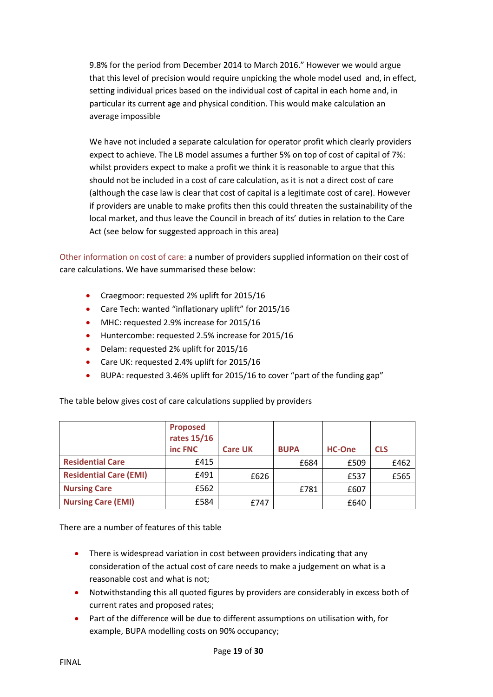9.8% for the period from December 2014 to March 2016." However we would argue that this level of precision would require unpicking the whole model used and, in effect, setting individual prices based on the individual cost of capital in each home and, in particular its current age and physical condition. This would make calculation an average impossible

We have not included a separate calculation for operator profit which clearly providers expect to achieve. The LB model assumes a further 5% on top of cost of capital of 7%: whilst providers expect to make a profit we think it is reasonable to argue that this should not be included in a cost of care calculation, as it is not a direct cost of care (although the case law is clear that cost of capital is a legitimate cost of care). However if providers are unable to make profits then this could threaten the sustainability of the local market, and thus leave the Council in breach of its' duties in relation to the Care Act (see below for suggested approach in this area)

Other information on cost of care: a number of providers supplied information on their cost of care calculations. We have summarised these below:

- Craegmoor: requested 2% uplift for 2015/16
- Care Tech: wanted "inflationary uplift" for 2015/16
- MHC: requested 2.9% increase for 2015/16
- Huntercombe: requested 2.5% increase for 2015/16
- Delam: requested 2% uplift for 2015/16
- Care UK: requested 2.4% uplift for 2015/16
- BUPA: requested 3.46% uplift for 2015/16 to cover "part of the funding gap"

|                               | <b>Proposed</b><br>rates 15/16<br>inc FNC | <b>Care UK</b> | <b>BUPA</b> | <b>HC-One</b> | <b>CLS</b> |
|-------------------------------|-------------------------------------------|----------------|-------------|---------------|------------|
| <b>Residential Care</b>       | £415                                      |                | £684        | £509          | £462       |
| <b>Residential Care (EMI)</b> | £491                                      | £626           |             | £537          | £565       |
| <b>Nursing Care</b>           | £562                                      |                | £781        | £607          |            |
| <b>Nursing Care (EMI)</b>     | £584                                      | £747           |             | £640          |            |

The table below gives cost of care calculations supplied by providers

There are a number of features of this table

- There is widespread variation in cost between providers indicating that any consideration of the actual cost of care needs to make a judgement on what is a reasonable cost and what is not;
- Notwithstanding this all quoted figures by providers are considerably in excess both of current rates and proposed rates;
- Part of the difference will be due to different assumptions on utilisation with, for example, BUPA modelling costs on 90% occupancy;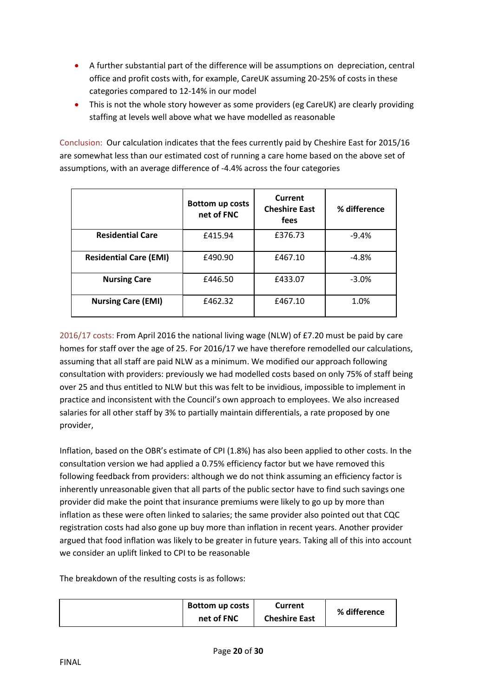- A further substantial part of the difference will be assumptions on depreciation, central office and profit costs with, for example, CareUK assuming 20-25% of costs in these categories compared to 12-14% in our model
- This is not the whole story however as some providers (eg CareUK) are clearly providing staffing at levels well above what we have modelled as reasonable

Conclusion: Our calculation indicates that the fees currently paid by Cheshire East for 2015/16 are somewhat less than our estimated cost of running a care home based on the above set of assumptions, with an average difference of -4.4% across the four categories

|                               | <b>Bottom up costs</b><br>net of FNC | Current<br><b>Cheshire East</b><br>fees | % difference |
|-------------------------------|--------------------------------------|-----------------------------------------|--------------|
| <b>Residential Care</b>       | £415.94                              | £376.73                                 | $-9.4%$      |
| <b>Residential Care (EMI)</b> | £490.90                              | £467.10                                 | $-4.8%$      |
| <b>Nursing Care</b>           | £446.50                              | £433.07                                 | $-3.0%$      |
| <b>Nursing Care (EMI)</b>     | £462.32                              | £467.10                                 | 1.0%         |

2016/17 costs: From April 2016 the national living wage (NLW) of £7.20 must be paid by care homes for staff over the age of 25. For 2016/17 we have therefore remodelled our calculations, assuming that all staff are paid NLW as a minimum. We modified our approach following consultation with providers: previously we had modelled costs based on only 75% of staff being over 25 and thus entitled to NLW but this was felt to be invidious, impossible to implement in practice and inconsistent with the Council's own approach to employees. We also increased salaries for all other staff by 3% to partially maintain differentials, a rate proposed by one provider,

Inflation, based on the OBR's estimate of CPI (1.8%) has also been applied to other costs. In the consultation version we had applied a 0.75% efficiency factor but we have removed this following feedback from providers: although we do not think assuming an efficiency factor is inherently unreasonable given that all parts of the public sector have to find such savings one provider did make the point that insurance premiums were likely to go up by more than inflation as these were often linked to salaries; the same provider also pointed out that CQC registration costs had also gone up buy more than inflation in recent years. Another provider argued that food inflation was likely to be greater in future years. Taking all of this into account we consider an uplift linked to CPI to be reasonable

The breakdown of the resulting costs is as follows:

| Bottom up costs | Current              | % difference |
|-----------------|----------------------|--------------|
| net of FNC      | <b>Cheshire East</b> |              |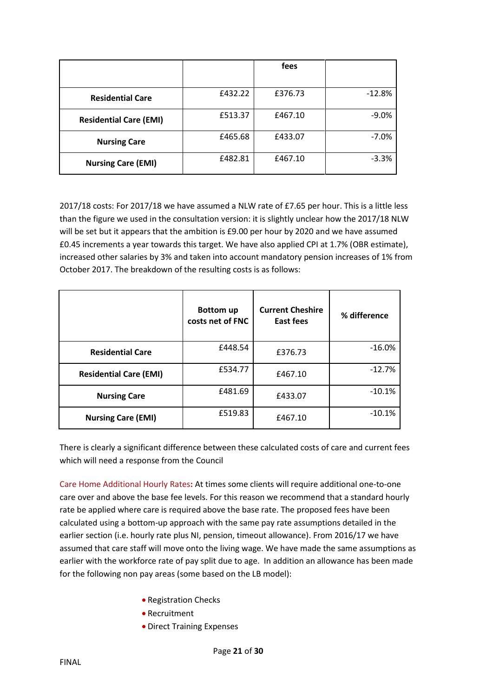|                               |         | fees    |          |
|-------------------------------|---------|---------|----------|
|                               |         |         |          |
| <b>Residential Care</b>       | £432.22 | £376.73 | $-12.8%$ |
| <b>Residential Care (EMI)</b> | £513.37 | £467.10 | $-9.0%$  |
| <b>Nursing Care</b>           | £465.68 | £433.07 | $-7.0\%$ |
| <b>Nursing Care (EMI)</b>     | £482.81 | £467.10 | $-3.3%$  |

2017/18 costs: For 2017/18 we have assumed a NLW rate of £7.65 per hour. This is a little less than the figure we used in the consultation version: it is slightly unclear how the 2017/18 NLW will be set but it appears that the ambition is £9.00 per hour by 2020 and we have assumed £0.45 increments a year towards this target. We have also applied CPI at 1.7% (OBR estimate), increased other salaries by 3% and taken into account mandatory pension increases of 1% from October 2017. The breakdown of the resulting costs is as follows:

|                               | <b>Bottom up</b><br>costs net of FNC | <b>Current Cheshire</b><br>East fees | % difference |
|-------------------------------|--------------------------------------|--------------------------------------|--------------|
| <b>Residential Care</b>       | £448.54                              | £376.73                              | $-16.0%$     |
| <b>Residential Care (EMI)</b> | £534.77                              | £467.10                              | $-12.7%$     |
| <b>Nursing Care</b>           | £481.69                              | £433.07                              | $-10.1%$     |
| <b>Nursing Care (EMI)</b>     | £519.83                              | £467.10                              | $-10.1%$     |

There is clearly a significant difference between these calculated costs of care and current fees which will need a response from the Council

Care Home Additional Hourly Rates**:** At times some clients will require additional one-to-one care over and above the base fee levels. For this reason we recommend that a standard hourly rate be applied where care is required above the base rate. The proposed fees have been calculated using a bottom-up approach with the same pay rate assumptions detailed in the earlier section (i.e. hourly rate plus NI, pension, timeout allowance). From 2016/17 we have assumed that care staff will move onto the living wage. We have made the same assumptions as earlier with the workforce rate of pay split due to age. In addition an allowance has been made for the following non pay areas (some based on the LB model):

- Registration Checks
- Recruitment
- Direct Training Expenses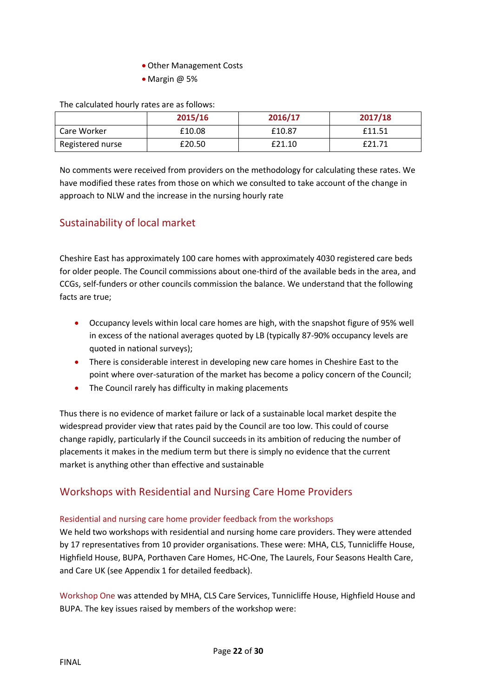#### Other Management Costs

• Margin @ 5%

The calculated hourly rates are as follows:

|                  | 2015/16 | 2016/17 | 2017/18 |
|------------------|---------|---------|---------|
| Care Worker      | £10.08  | £10.87  | £11.51  |
| Registered nurse | £20.50  | £21.10  | £21.71  |

No comments were received from providers on the methodology for calculating these rates. We have modified these rates from those on which we consulted to take account of the change in approach to NLW and the increase in the nursing hourly rate

## <span id="page-21-0"></span>Sustainability of local market

Cheshire East has approximately 100 care homes with approximately 4030 registered care beds for older people. The Council commissions about one-third of the available beds in the area, and CCGs, self-funders or other councils commission the balance. We understand that the following facts are true;

- Occupancy levels within local care homes are high, with the snapshot figure of 95% well in excess of the national averages quoted by LB (typically 87-90% occupancy levels are quoted in national surveys);
- There is considerable interest in developing new care homes in Cheshire East to the point where over-saturation of the market has become a policy concern of the Council;
- The Council rarely has difficulty in making placements

Thus there is no evidence of market failure or lack of a sustainable local market despite the widespread provider view that rates paid by the Council are too low. This could of course change rapidly, particularly if the Council succeeds in its ambition of reducing the number of placements it makes in the medium term but there is simply no evidence that the current market is anything other than effective and sustainable

## <span id="page-21-1"></span>Workshops with Residential and Nursing Care Home Providers

#### <span id="page-21-2"></span>Residential and nursing care home provider feedback from the workshops

We held two workshops with residential and nursing home care providers. They were attended by 17 representatives from 10 provider organisations. These were: MHA, CLS, Tunnicliffe House, Highfield House, BUPA, Porthaven Care Homes, HC-One, The Laurels, Four Seasons Health Care, and Care UK (see Appendix 1 for detailed feedback).

Workshop One was attended by MHA, CLS Care Services, Tunnicliffe House, Highfield House and BUPA. The key issues raised by members of the workshop were: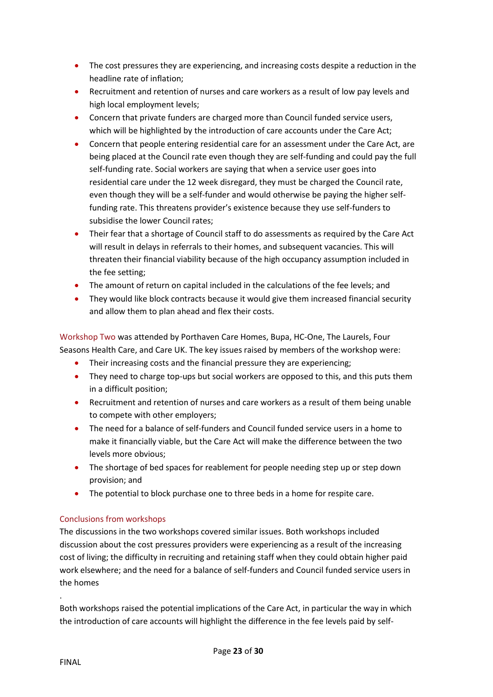- The cost pressures they are experiencing, and increasing costs despite a reduction in the headline rate of inflation;
- Recruitment and retention of nurses and care workers as a result of low pay levels and high local employment levels;
- Concern that private funders are charged more than Council funded service users, which will be highlighted by the introduction of care accounts under the Care Act;
- Concern that people entering residential care for an assessment under the Care Act, are being placed at the Council rate even though they are self-funding and could pay the full self-funding rate. Social workers are saying that when a service user goes into residential care under the 12 week disregard, they must be charged the Council rate, even though they will be a self-funder and would otherwise be paying the higher selffunding rate. This threatens provider's existence because they use self-funders to subsidise the lower Council rates;
- Their fear that a shortage of Council staff to do assessments as required by the Care Act will result in delays in referrals to their homes, and subsequent vacancies. This will threaten their financial viability because of the high occupancy assumption included in the fee setting;
- The amount of return on capital included in the calculations of the fee levels; and
- They would like block contracts because it would give them increased financial security and allow them to plan ahead and flex their costs.

Workshop Two was attended by Porthaven Care Homes, Bupa, HC-One, The Laurels, Four Seasons Health Care, and Care UK. The key issues raised by members of the workshop were:

- Their increasing costs and the financial pressure they are experiencing;
- They need to charge top-ups but social workers are opposed to this, and this puts them in a difficult position;
- Recruitment and retention of nurses and care workers as a result of them being unable to compete with other employers;
- The need for a balance of self-funders and Council funded service users in a home to make it financially viable, but the Care Act will make the difference between the two levels more obvious;
- The shortage of bed spaces for reablement for people needing step up or step down provision; and
- The potential to block purchase one to three beds in a home for respite care.

#### <span id="page-22-0"></span>Conclusions from workshops

The discussions in the two workshops covered similar issues. Both workshops included discussion about the cost pressures providers were experiencing as a result of the increasing cost of living; the difficulty in recruiting and retaining staff when they could obtain higher paid work elsewhere; and the need for a balance of self-funders and Council funded service users in the homes

Both workshops raised the potential implications of the Care Act, in particular the way in which the introduction of care accounts will highlight the difference in the fee levels paid by self-

.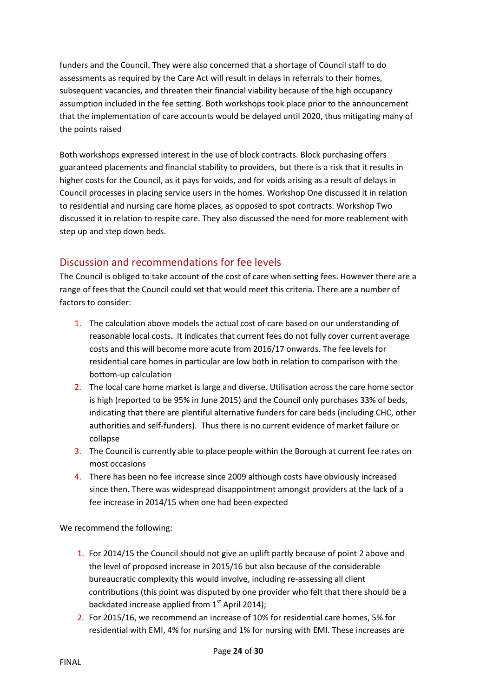funders and the Council. They were also concerned that a shortage of Council staff to do assessments as required by the Care Act will result in delays in referrals to their homes, subsequent vacancies, and threaten their financial viability because of the high occupancy assumption included in the fee setting. Both workshops took place prior to the announcement that the implementation of care accounts would be delayed until 2020, thus mitigating many of the points raised

Both workshops expressed interest in the use of block contracts. Block purchasing offers guaranteed placements and financial stability to providers, but there is a risk that it results in higher costs for the Council, as it pays for voids, and for voids arising as a result of delays in Council processes in placing service users in the homes. Workshop One discussed it in relation to residential and nursing care home places, as opposed to spot contracts. Workshop Two discussed it in relation to respite care. They also discussed the need for more reablement with step up and step down beds.

## <span id="page-23-0"></span>Discussion and recommendations for fee levels

The Council is obliged to take account of the cost of care when setting fees. However there are a range of fees that the Council could set that would meet this criteria. There are a number of factors to consider:

- 1. The calculation above models the actual cost of care based on our understanding of reasonable local costs. It indicates that current fees do not fully cover current average costs and this will become more acute from 2016/17 onwards. The fee levels for residential care homes in particular are low both in relation to comparison with the bottom-up calculation
- 2. The local care home market is large and diverse. Utilisation across the care home sector is high (reported to be 95% in June 2015) and the Council only purchases 33% of beds, indicating that there are plentiful alternative funders for care beds (including CHC, other authorities and self-funders). Thus there is no current evidence of market failure or collapse
- 3. The Council is currently able to place people within the Borough at current fee rates on most occasions
- 4. There has been no fee increase since 2009 although costs have obviously increased since then. There was widespread disappointment amongst providers at the lack of a fee increase in 2014/15 when one had been expected

We recommend the following:

- 1. For 2014/15 the Council should not give an uplift partly because of point 2 above and the level of proposed increase in 2015/16 but also because of the considerable bureaucratic complexity this would involve, including re-assessing all client contributions (this point was disputed by one provider who felt that there should be a backdated increase applied from  $1<sup>st</sup>$  April 2014);
- 2. For 2015/16, we recommend an increase of 10% for residential care homes, 5% for residential with EMI, 4% for nursing and 1% for nursing with EMI. These increases are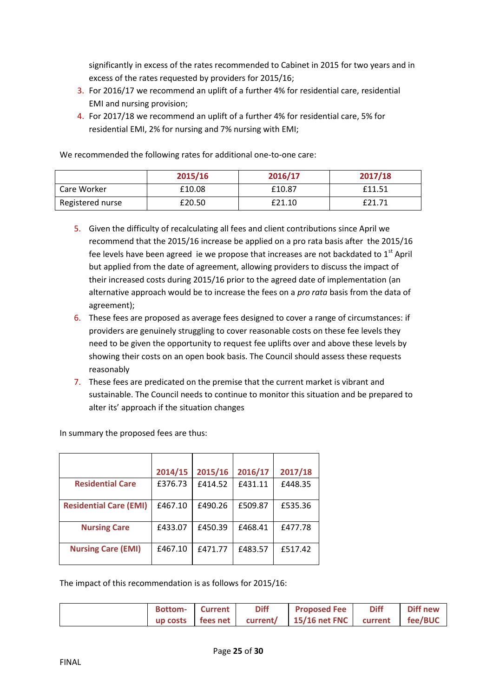significantly in excess of the rates recommended to Cabinet in 2015 for two years and in excess of the rates requested by providers for 2015/16;

- 3. For 2016/17 we recommend an uplift of a further 4% for residential care, residential EMI and nursing provision;
- 4. For 2017/18 we recommend an uplift of a further 4% for residential care, 5% for residential EMI, 2% for nursing and 7% nursing with EMI;

We recommended the following rates for additional one-to-one care:

|                  | 2015/16 | 2016/17 | 2017/18 |
|------------------|---------|---------|---------|
| Care Worker      | £10.08  | £10.87  | £11.51  |
| Registered nurse | £20.50  | £21.10  | £21.71  |

- 5. Given the difficulty of recalculating all fees and client contributions since April we recommend that the 2015/16 increase be applied on a pro rata basis after the 2015/16 fee levels have been agreed ie we propose that increases are not backdated to  $1<sup>st</sup>$  April but applied from the date of agreement, allowing providers to discuss the impact of their increased costs during 2015/16 prior to the agreed date of implementation (an alternative approach would be to increase the fees on a *pro rata* basis from the data of agreement);
- 6. These fees are proposed as average fees designed to cover a range of circumstances: if providers are genuinely struggling to cover reasonable costs on these fee levels they need to be given the opportunity to request fee uplifts over and above these levels by showing their costs on an open book basis. The Council should assess these requests reasonably
- 7. These fees are predicated on the premise that the current market is vibrant and sustainable. The Council needs to continue to monitor this situation and be prepared to alter its' approach if the situation changes

In summary the proposed fees are thus:

|                               | 2014/15 | 2015/16 | 2016/17 | 2017/18 |
|-------------------------------|---------|---------|---------|---------|
| <b>Residential Care</b>       | £376.73 | £414.52 | £431.11 | £448.35 |
| <b>Residential Care (EMI)</b> | £467.10 | £490.26 | £509.87 | £535.36 |
| <b>Nursing Care</b>           | £433.07 | £450.39 | £468.41 | £477.78 |
| <b>Nursing Care (EMI)</b>     | £467.10 | £471.77 | £483.57 | £517.42 |

The impact of this recommendation is as follows for 2015/16:

| <b>Bottom-</b> Current | <b>Diff</b> | <b>Proposed Fee</b>                                                | <b>Diff</b> | <b>Diff new</b> |
|------------------------|-------------|--------------------------------------------------------------------|-------------|-----------------|
|                        |             | up costs   fees net   current/   15/16 net FNC   current   fee/BUC |             |                 |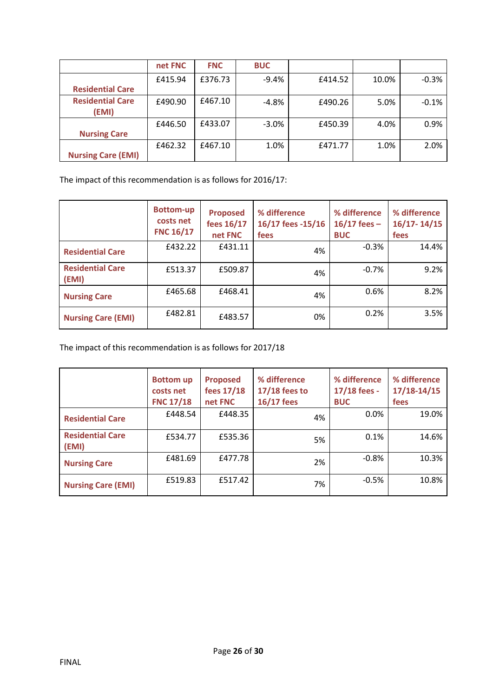|                           | net FNC | <b>FNC</b> | <b>BUC</b> |         |       |         |
|---------------------------|---------|------------|------------|---------|-------|---------|
|                           | £415.94 | £376.73    | -9.4%      | £414.52 | 10.0% | $-0.3%$ |
| <b>Residential Care</b>   |         |            |            |         |       |         |
| <b>Residential Care</b>   | £490.90 | £467.10    | -4.8%      | £490.26 | 5.0%  | $-0.1%$ |
| (EMI)                     |         |            |            |         |       |         |
|                           | £446.50 | £433.07    | $-3.0\%$   | £450.39 | 4.0%  | 0.9%    |
| <b>Nursing Care</b>       |         |            |            |         |       |         |
|                           | £462.32 | £467.10    | 1.0%       | £471.77 | 1.0%  | 2.0%    |
| <b>Nursing Care (EMI)</b> |         |            |            |         |       |         |

The impact of this recommendation is as follows for 2016/17:

|                                  | <b>Bottom-up</b><br>costs net<br><b>FNC 16/17</b> | <b>Proposed</b><br>fees 16/17<br>net FNC | % difference<br>16/17 fees -15/16<br><b>fees</b> | % difference<br>$16/17$ fees -<br><b>BUC</b> | % difference<br>$16/17 - 14/15$<br>fees |
|----------------------------------|---------------------------------------------------|------------------------------------------|--------------------------------------------------|----------------------------------------------|-----------------------------------------|
| <b>Residential Care</b>          | £432.22                                           | £431.11                                  | 4%                                               | $-0.3%$                                      | 14.4%                                   |
| <b>Residential Care</b><br>(EMI) | £513.37                                           | £509.87                                  | 4%                                               | $-0.7%$                                      | 9.2%                                    |
| <b>Nursing Care</b>              | £465.68                                           | £468.41                                  | 4%                                               | 0.6%                                         | 8.2%                                    |
| <b>Nursing Care (EMI)</b>        | £482.81                                           | £483.57                                  | 0%                                               | 0.2%                                         | 3.5%                                    |

The impact of this recommendation is as follows for 2017/18

|                                  | <b>Bottom up</b><br>costs net<br><b>FNC 17/18</b> | <b>Proposed</b><br>fees 17/18<br>net FNC | % difference<br>$17/18$ fees to<br>16/17 fees | % difference<br>17/18 fees -<br><b>BUC</b> | % difference<br>$17/18 - 14/15$<br>fees |
|----------------------------------|---------------------------------------------------|------------------------------------------|-----------------------------------------------|--------------------------------------------|-----------------------------------------|
| <b>Residential Care</b>          | £448.54                                           | £448.35                                  | 4%                                            | 0.0%                                       | 19.0%                                   |
| <b>Residential Care</b><br>(EMI) | £534.77                                           | £535.36                                  | 5%                                            | 0.1%                                       | 14.6%                                   |
| <b>Nursing Care</b>              | £481.69                                           | £477.78                                  | 2%                                            | $-0.8%$                                    | 10.3%                                   |
| <b>Nursing Care (EMI)</b>        | £519.83                                           | £517.42                                  | 7%                                            | $-0.5%$                                    | 10.8%                                   |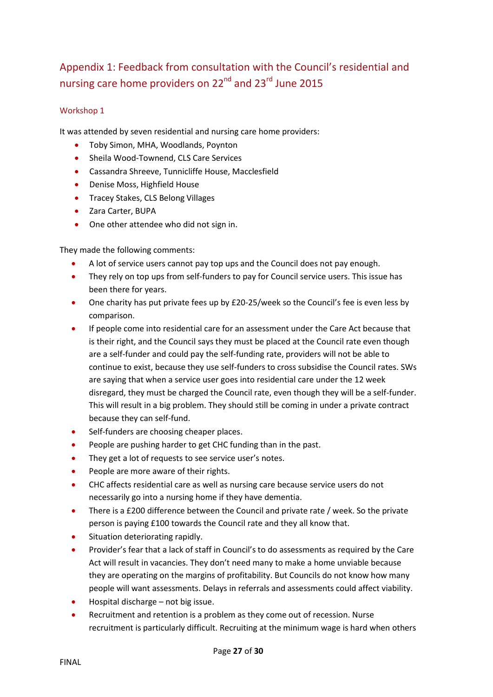# <span id="page-26-0"></span>Appendix 1: Feedback from consultation with the Council's residential and nursing care home providers on 22<sup>nd</sup> and 23<sup>rd</sup> June 2015

#### Workshop 1

It was attended by seven residential and nursing care home providers:

- Toby Simon, MHA, Woodlands, Poynton
- Sheila Wood-Townend, CLS Care Services
- Cassandra Shreeve, Tunnicliffe House, Macclesfield
- Denise Moss, Highfield House
- Tracey Stakes, CLS Belong Villages
- Zara Carter, BUPA
- One other attendee who did not sign in.

They made the following comments:

- A lot of service users cannot pay top ups and the Council does not pay enough.
- They rely on top ups from self-funders to pay for Council service users. This issue has been there for years.
- One charity has put private fees up by £20-25/week so the Council's fee is even less by comparison.
- If people come into residential care for an assessment under the Care Act because that is their right, and the Council says they must be placed at the Council rate even though are a self-funder and could pay the self-funding rate, providers will not be able to continue to exist, because they use self-funders to cross subsidise the Council rates. SWs are saying that when a service user goes into residential care under the 12 week disregard, they must be charged the Council rate, even though they will be a self-funder. This will result in a big problem. They should still be coming in under a private contract because they can self-fund.
- Self-funders are choosing cheaper places.
- People are pushing harder to get CHC funding than in the past.
- They get a lot of requests to see service user's notes.
- People are more aware of their rights.
- CHC affects residential care as well as nursing care because service users do not necessarily go into a nursing home if they have dementia.
- There is a £200 difference between the Council and private rate / week. So the private person is paying £100 towards the Council rate and they all know that.
- Situation deteriorating rapidly.
- Provider's fear that a lack of staff in Council's to do assessments as required by the Care Act will result in vacancies. They don't need many to make a home unviable because they are operating on the margins of profitability. But Councils do not know how many people will want assessments. Delays in referrals and assessments could affect viability.
- Hospital discharge not big issue.
- Recruitment and retention is a problem as they come out of recession. Nurse recruitment is particularly difficult. Recruiting at the minimum wage is hard when others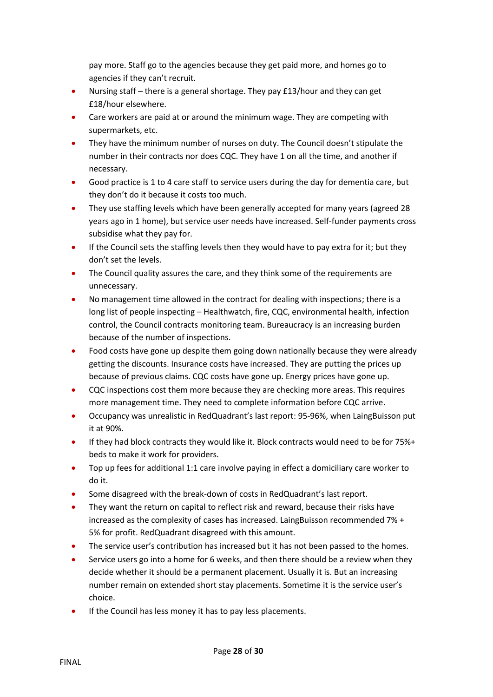pay more. Staff go to the agencies because they get paid more, and homes go to agencies if they can't recruit.

- Nursing staff there is a general shortage. They pay £13/hour and they can get £18/hour elsewhere.
- Care workers are paid at or around the minimum wage. They are competing with supermarkets, etc.
- They have the minimum number of nurses on duty. The Council doesn't stipulate the number in their contracts nor does CQC. They have 1 on all the time, and another if necessary.
- Good practice is 1 to 4 care staff to service users during the day for dementia care, but they don't do it because it costs too much.
- They use staffing levels which have been generally accepted for many years (agreed 28 years ago in 1 home), but service user needs have increased. Self-funder payments cross subsidise what they pay for.
- If the Council sets the staffing levels then they would have to pay extra for it; but they don't set the levels.
- The Council quality assures the care, and they think some of the requirements are unnecessary.
- No management time allowed in the contract for dealing with inspections; there is a long list of people inspecting – Healthwatch, fire, CQC, environmental health, infection control, the Council contracts monitoring team. Bureaucracy is an increasing burden because of the number of inspections.
- Food costs have gone up despite them going down nationally because they were already getting the discounts. Insurance costs have increased. They are putting the prices up because of previous claims. CQC costs have gone up. Energy prices have gone up.
- CQC inspections cost them more because they are checking more areas. This requires more management time. They need to complete information before CQC arrive.
- Occupancy was unrealistic in RedQuadrant's last report: 95-96%, when LaingBuisson put it at 90%.
- If they had block contracts they would like it. Block contracts would need to be for 75%+ beds to make it work for providers.
- Top up fees for additional 1:1 care involve paying in effect a domiciliary care worker to do it.
- Some disagreed with the break-down of costs in RedQuadrant's last report.
- They want the return on capital to reflect risk and reward, because their risks have increased as the complexity of cases has increased. LaingBuisson recommended 7% + 5% for profit. RedQuadrant disagreed with this amount.
- The service user's contribution has increased but it has not been passed to the homes.
- Service users go into a home for 6 weeks, and then there should be a review when they decide whether it should be a permanent placement. Usually it is. But an increasing number remain on extended short stay placements. Sometime it is the service user's choice.
- If the Council has less money it has to pay less placements.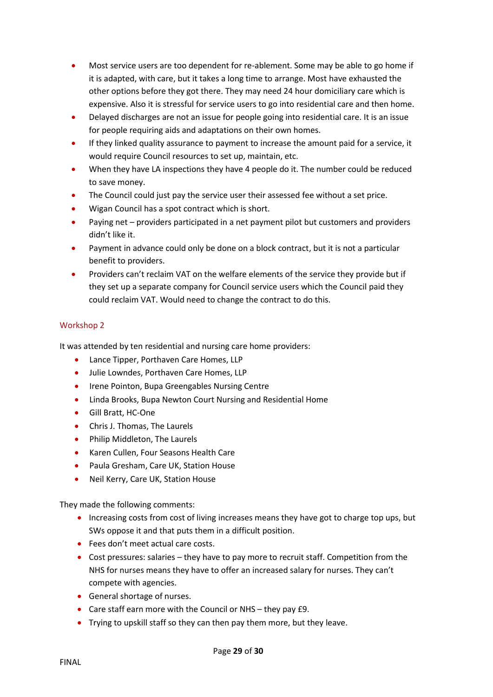- Most service users are too dependent for re-ablement. Some may be able to go home if it is adapted, with care, but it takes a long time to arrange. Most have exhausted the other options before they got there. They may need 24 hour domiciliary care which is expensive. Also it is stressful for service users to go into residential care and then home.
- Delayed discharges are not an issue for people going into residential care. It is an issue for people requiring aids and adaptations on their own homes.
- If they linked quality assurance to payment to increase the amount paid for a service, it would require Council resources to set up, maintain, etc.
- When they have LA inspections they have 4 people do it. The number could be reduced to save money.
- The Council could just pay the service user their assessed fee without a set price.
- Wigan Council has a spot contract which is short.
- Paying net providers participated in a net payment pilot but customers and providers didn't like it.
- Payment in advance could only be done on a block contract, but it is not a particular benefit to providers.
- Providers can't reclaim VAT on the welfare elements of the service they provide but if they set up a separate company for Council service users which the Council paid they could reclaim VAT. Would need to change the contract to do this.

#### Workshop 2

It was attended by ten residential and nursing care home providers:

- **.** Lance Tipper, Porthaven Care Homes, LLP
- Julie Lowndes, Porthaven Care Homes, LLP
- Irene Pointon, Bupa Greengables Nursing Centre
- Linda Brooks, Bupa Newton Court Nursing and Residential Home
- Gill Bratt, HC-One
- Chris J. Thomas, The Laurels
- Philip Middleton, The Laurels
- **Karen Cullen, Four Seasons Health Care**
- Paula Gresham, Care UK, Station House
- Neil Kerry, Care UK, Station House

They made the following comments:

- Increasing costs from cost of living increases means they have got to charge top ups, but SWs oppose it and that puts them in a difficult position.
- Fees don't meet actual care costs.
- Cost pressures: salaries they have to pay more to recruit staff. Competition from the NHS for nurses means they have to offer an increased salary for nurses. They can't compete with agencies.
- General shortage of nurses.
- Care staff earn more with the Council or NHS they pay £9.
- Trying to upskill staff so they can then pay them more, but they leave.